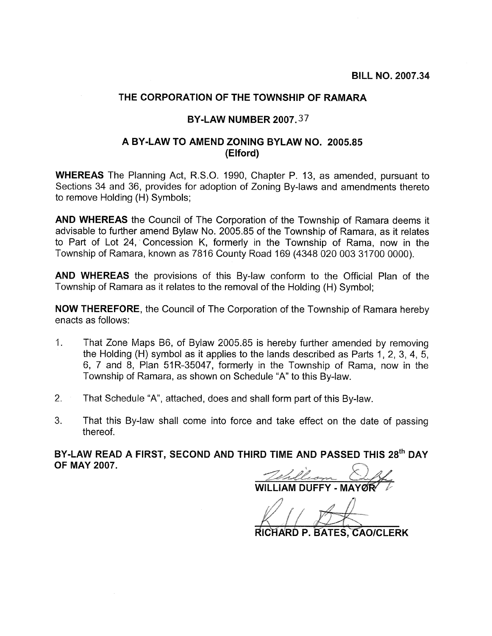## THE CORPORATION OF THE TOWNSHIP OF RAMARA

## **BY-LAW NUMBER 2007.37**

## A BY-LAW TO AMEND ZONING BYLAW NO. 2005-85 (Elford)

**WHEREAS** The Planning Act, R.S.O. 1990, Chapter P. 13, as amended, pursuant to Sections 34 and 36, provides for adoption of Zoning By-laws and amendments thereto to remove Holding (H) Symbols;

AND WHEREAS the Council of The Corporation of the Township of Ramara deems it advisable to further amend Bylaw No. 2005.85 of the Township of Ramara, as it relates to Part of Lot 24, Concession K, formerly in the Township of Rama, now in the Township of Ramara, known as 7816 County Road 169 (4348 020 003 31700 0000).

AND WHEREAS the provisions of this By-law conform to the Official Plan of the Township of Ramara as it relates to the removal of the Holding (H) Symbol;

**NOW THEREFORE, the Council of The Corporation of the Township of Ramara hereby** enacts as follows:

- $1.$ That Zone Maps B6, of Bylaw 2005.85 is hereby further amended by removing the Holding (H) symbol as it applies to the lands described as Parts 1, 2, 3, 4, 5, 6, 7 and 8, Plan 51R-35047, formerly in the Township of Rama, now in the Township of Ramara, as shown on Schedule "A" to this By-law.
- $2.$ That Schedule "A", attached, does and shall form part of this By-law.
- 3. That this By-law shall come into force and take effect on the date of passing thereof.

BY-LAW READ A FIRST, SECOND AND THIRD TIME AND PASSED THIS 28<sup>th</sup> DAY **OF MAY 2007.** 

**II I IAM DUFFY - MAY** 

RICHARD P. BATES, CAO/CLERK